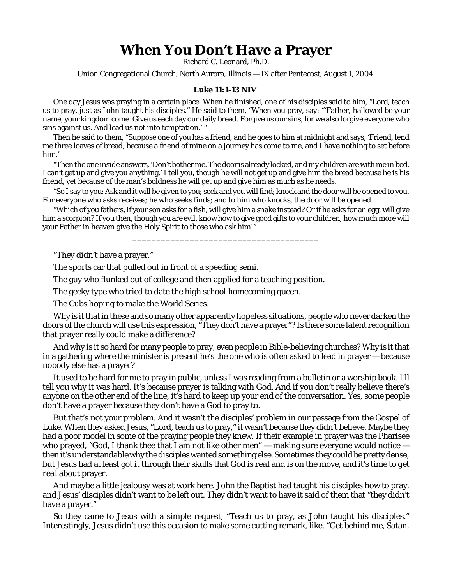## **When You Don't Have a Prayer**

Richard C. Leonard, Ph.D.

Union Congregational Church, North Aurora, Illinois — IX after Pentecost, August 1, 2004

## **Luke 11:1-13 NIV**

One day Jesus was praying in a certain place. When he finished, one of his disciples said to him, "Lord, teach us to pray, just as John taught his disciples." He said to them, "When you pray, say: "'Father, hallowed be your name, your kingdom come. Give us each day our daily bread. Forgive us our sins, for we also forgive everyone who sins against us. And lead us not into temptation.' "

Then he said to them, "Suppose one of you has a friend, and he goes to him at midnight and says, 'Friend, lend me three loaves of bread, because a friend of mine on a journey has come to me, and I have nothing to set before him.'

"Then the one inside answers, 'Don't bother me. The door is already locked, and my children are with me in bed. I can't get up and give you anything.' I tell you, though he will not get up and give him the bread because he is his friend, yet because of the man's boldness he will get up and give him as much as he needs.

"So I say to you: Ask and it will be given to you; seek and you will find; knock and the door will be opened to you. For everyone who asks receives; he who seeks finds; and to him who knocks, the door will be opened.

"Which of you fathers, if your son asks for a fish, will give him a snake instead? Or if he asks for an egg, will give him a scorpion? If you then, though you are evil, know how to give good gifts to your children, how much more will your Father in heaven give the Holy Spirit to those who ask him!"

\_\_\_\_\_\_\_\_\_\_\_\_\_\_\_\_\_\_\_\_\_\_\_\_\_\_\_\_\_\_\_\_\_\_\_\_\_\_\_

"They didn't have a prayer."

The sports car that pulled out in front of a speeding semi.

The guy who flunked out of college and then applied for a teaching position.

The geeky type who tried to date the high school homecoming queen.

The Cubs hoping to make the World Series.

Why is it that in these and so many other apparently hopeless situations, people who never darken the doors of the church will use this expression, "They don't have a prayer"? Is there some latent recognition that prayer really *could* make a difference?

And why is it so hard for many people to pray, even people in Bible-believing churches? Why is it that in a gathering where the minister is present he's the one who is often asked to lead in prayer — because nobody else has a prayer?

It used to be hard for me to pray in public, unless I was reading from a bulletin or a worship book. I'll tell you why it was hard. It's because prayer is talking with God. And if you don't really believe there's anyone on the other end of the line, it's hard to keep up your end of the conversation. Yes, some people don't have a prayer because they don't have a God to pray to.

But that's not your problem. And it wasn't the disciples' problem in our passage from the Gospel of Luke. When they asked Jesus, "Lord, teach us to pray," it wasn't because they didn't believe. Maybe they had a poor model in some of the praying people they knew. If their example in prayer was the Pharisee who prayed, "God, I thank thee that I am not like other men" — making sure everyone would notice then it's understandable why the disciples wanted something else. Sometimes they could be pretty dense, but Jesus had at least got it through their skulls that *God is real* and is on the move, and it's time to *get real* about prayer.

And maybe a little jealousy was at work here. John the Baptist had taught his disciples how to pray, and Jesus' disciples didn't want to be left out. They didn't want to have it said of *them* that "they didn't have a prayer."

So they came to Jesus with a simple request, "Teach us to pray, as John taught his disciples." Interestingly, Jesus didn't use this occasion to make some cutting remark, like, "Get behind me, Satan,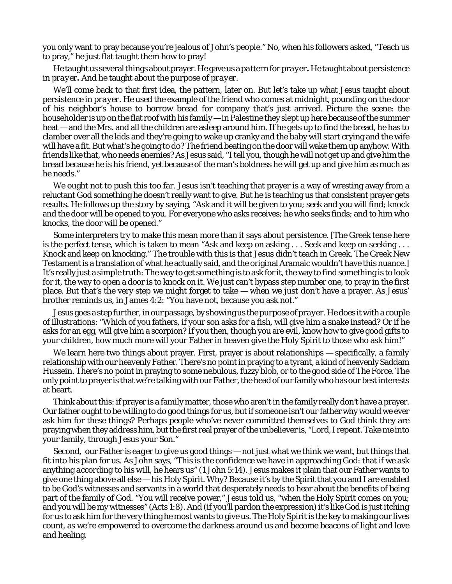you only want to pray because you're jealous of John's people." No, when his followers asked, "Teach us to pray," he just flat taught them how to pray!

He taught us several things about prayer. He gave us a *pattern for prayer***.** He taught about *persistence in prayer***.** And he taught about the *purpose of prayer.*

We'll come back to that first idea, the pattern, later on. But let's take up what Jesus taught about *persistence in prayer.* He used the example of the friend who comes at midnight, pounding on the door of his neighbor's house to borrow bread for company that's just arrived. Picture the scene: the householder is up on the flat roof with his family — in Palestine they slept up here because of the summer heat — and the Mrs. and all the children are asleep around him. If he gets up to find the bread, he has to clamber over all the kids and they're going to wake up cranky and the baby will start crying and the wife will have a fit. But what's he going to do? The friend beating on the door will wake them up anyhow. With friends like that, who needs enemies? As Jesus said, "I tell you, though he will not get up and give him the bread because he is his friend, yet because of the man's boldness he will get up and give him as much as he needs."

We ought not to push this too far. Jesus isn't teaching that prayer is a way of wresting away from a reluctant God something he doesn't really want to give. But he *is* teaching us that consistent prayer gets results. He follows up the story by saying, "Ask and it will be given to you; seek and you will find; knock and the door will be opened to you. For everyone who asks receives; he who seeks finds; and to him who knocks, the door will be opened."

Some interpreters try to make this mean more than it says about persistence. [The Greek tense here is the perfect tense, which is taken to mean "Ask and keep on asking . . . Seek and keep on seeking . . . Knock and keep on knocking." The trouble with this is that Jesus didn't teach in Greek. The Greek New Testament is a translation of what he actually said, and the original Aramaic wouldn't have this nuance.] It's really just a simple truth: The way to get something is to ask for it, the way to find something is to look for it, the way to open a door is to knock on it. We just can't bypass *step number one*, to pray in the first place. But that's the very step we might forget to take — when we just don't have a prayer. As Jesus' brother reminds us, in James 4:2: "You have not, because you ask not."

Jesus goes a step further, in our passage, by showing us the *purpose of prayer.* He does it with a couple of illustrations: "Which of you fathers, if your son asks for a fish, will give him a snake instead? Or if he asks for an egg, will give him a scorpion? If you then, though you are evil, know how to give good gifts to your children, how much more will your Father in heaven give the Holy Spirit to those who ask him!"

We learn here two things about prayer. First, prayer is about relationships — specifically, a *family* relationship with our heavenly Father. There's no point in praying to a tyrant, a kind of heavenly Saddam Hussein. There's no point in praying to some nebulous, fuzzy blob, or to the good side of The Force. The only point to prayer is that we're talking with our Father, the head of our family who has our best interests at heart.

Think about this: if prayer is a family matter, those who aren't in the family really *don't* have a prayer. Our father ought to be willing to do good things for us, but if someone isn't *our* father why would we ever ask *him* for these things? Perhaps people who've never committed themselves to God *think* they are praying when they address him, but the first real prayer of the unbeliever is, "Lord, I repent. Take me into your family, through Jesus your Son."

Second, our Father *is eager* to give us good things — not just what we think we want, but things that fit into his plan for us. As John says, "This is the confidence we have in approaching God: that if we ask anything *according to his will*, he hears us" (1 John 5:14). Jesus makes it plain that our Father wants to give one thing above all else — his Holy Spirit. Why? Because it's by the Spirit that you and I are enabled to be God's witnesses and servants in a world that desperately needs to hear about the benefits of being part of the family of God. "You will receive power," Jesus told us, "when the Holy Spirit comes on you; and you will be my witnesses" (Acts 1:8). And (if you'll pardon the expression) it's like God is just *itching* for us to ask him for the very thing he most wants to give us. The Holy Spirit is the key to making our lives count, as we're empowered to overcome the darkness around us and become beacons of light and love and healing.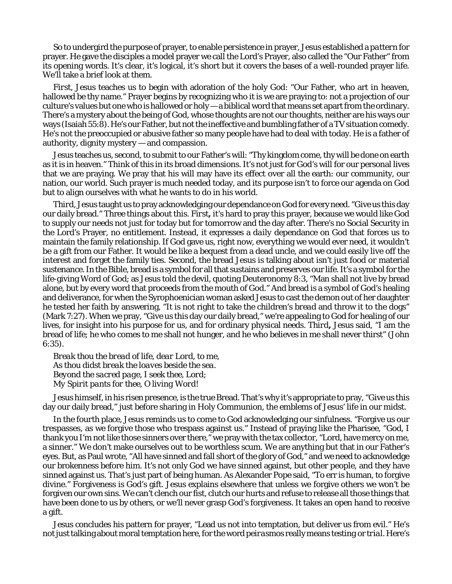So to undergird the *purpose* of prayer, to enable *persistence* in prayer, Jesus established a *pattern* for prayer. He gave the disciples a model prayer we call the Lord's Prayer, also called the "Our Father" from its opening words. It's clear, it's logical, it's short but it covers the bases of a well-rounded prayer life. We'll take a brief look at them.

*First,* Jesus teaches us to begin with adoration of the holy God: "Our Father, who art in heaven, hallowed be thy name." Prayer begins by recognizing who it is we are praying to: not a projection of our culture's values but one who is hallowed or holy — a biblical word that means set apart from the ordinary. There's a mystery about the being of God, whose thoughts are not our thoughts, neither are his ways our ways (Isaiah 55:8). He's our Father, but not the ineffective and bumbling father of a TV situation comedy. He's not the preoccupied or abusive father so many people have had to deal with today. He is a father of authority, dignity mystery — and compassion.

Jesus teaches us*, second,* to submit to our Father's will: "Thy kingdom come, thy will be done on earth as it is in heaven." Think of this in its broad dimensions. It's not just for God's will for our personal lives that we are praying. We pray that his will may have its effect over all the earth: our community, our nation, our world. Such prayer is much needed today, and its purpose isn't to force our agenda on God but to align ourselves with what he wants to do in his world.

*Third,* Jesus taught us to pray acknowledging our dependance on God for every need. "Give us this day our daily bread." Three things about this. *First***,** it's hard to pray this prayer, because we would like God to supply our needs not just for today but for tomorrow and the day after. There's no Social Security in the Lord's Prayer, no entitlement. Instead, it expresses a *daily* dependance on God that forces us to maintain the family relationship. If God gave us, right now, everything we would ever need, it wouldn't be a gift from our Father. It would be like a bequest from a dead uncle, and we could easily live off the interest and forget the family ties. *Second*, the bread Jesus is talking about isn't just food or material sustenance. In the Bible, bread is a symbol for all that sustains and preserves our life. It's a symbol for the life-giving Word of God; as Jesus told the devil, quoting Deuteronomy 8:3, "Man shall not live by bread alone, but by every word that proceeds from the mouth of God." And bread is a symbol of God's healing and deliverance, for when the Syrophoenician woman asked Jesus to cast the demon out of her daughter he tested her faith by answering, "It is not right to take the children's *bread* and throw it to the dogs" (Mark 7:27). When we pray, "Give us this day our daily bread," we're appealing to God for healing of our lives, for insight into his purpose for us, and for ordinary physical needs. *Third***,** Jesus said, "I am the bread of life; he who comes to me shall not hunger, and he who believes in me shall never thirst" (John 6:35).

*Break thou the bread of life, dear Lord, to me, As thou didst break the loaves beside the sea. Beyond the sacred page, I seek thee, Lord; My Spirit pants for thee, O living Word!* 

Jesus himself, in his risen presence, is the true Bread. That's why it's appropriate to pray, "Give us this day our daily bread," just before sharing in Holy Communion, the emblems of Jesus' life in our midst.

In the *fourth* place, Jesus reminds us to come to God acknowledging our sinfulness. "Forgive us our trespasses, as we forgive those who trespass against us." Instead of praying like the Pharisee, "God, I thank you I'm not like those sinners over there," we pray with the tax collector, "Lord, have mercy on me, a sinner." We don't make ourselves out to be worthless scum. We are anything but that in our Father's eyes. But, as Paul wrote, "All have sinned and fall short of the glory of God," and we need to acknowledge our brokenness before him. It's not only God we have sinned against, but other people, and they have sinned against us. That's just part of being human. As Alexander Pope said, "To err is human, to forgive divine." Forgiveness is God's gift. Jesus explains elsewhere that unless we forgive others we won't be forgiven our own sins. We can't clench our fist, clutch our hurts and refuse to release all those things that have been done to us by others, or we'll never grasp God's forgiveness. It takes an *open hand* to receive a gift.

Jesus concludes his pattern for prayer, "Lead us not into temptation, but deliver us from evil." He's not just talking about moral temptation here, for the word *peirasmos* really means *testing* or *trial.* Here's